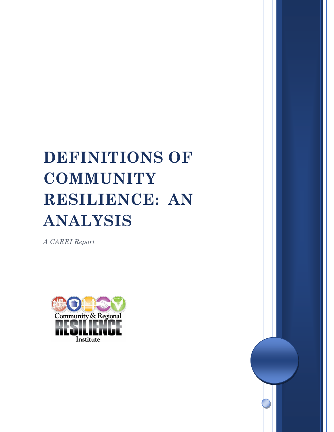# **DEFINITIONS OF COMMUNITY RESILIENCE: AN ANALYSIS**

*A CARRI Report*

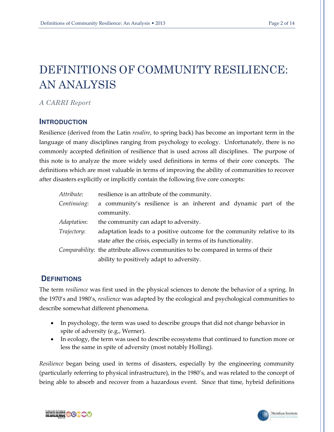# DEFINITIONS OF COMMUNITY RESILIENCE: AN ANALYSIS

*A CARRI Report* 

#### **INTRODUCTION**

Resilience (derived from the Latin *resalire*, to spring back) has become an important term in the language of many disciplines ranging from psychology to ecology. Unfortunately, there is no commonly accepted definition of resilience that is used across all disciplines. The purpose of this note is to analyze the more widely used definitions in terms of their core concepts. The definitions which are most valuable in terms of improving the ability of communities to recover after disasters explicitly or implicitly contain the following five core concepts:

| Attribute:                                                                              | resilience is an attribute of the community.                             |  |  |
|-----------------------------------------------------------------------------------------|--------------------------------------------------------------------------|--|--|
| Continuing:                                                                             | a community's resilience is an inherent and dynamic part of the          |  |  |
|                                                                                         | community.                                                               |  |  |
| Adaptation:                                                                             | the community can adapt to adversity.                                    |  |  |
| Trajectory:                                                                             | adaptation leads to a positive outcome for the community relative to its |  |  |
|                                                                                         | state after the crisis, especially in terms of its functionality.        |  |  |
| <i>Comparability:</i> the attribute allows communities to be compared in terms of their |                                                                          |  |  |
|                                                                                         | ability to positively adapt to adversity.                                |  |  |

## **DEFINITIONS**

The term *resilience* was first used in the physical sciences to denote the behavior of a spring. In the 1970's and 1980's, *resilience* was adapted by the ecological and psychological communities to describe somewhat different phenomena.

- In psychology, the term was used to describe groups that did not change behavior in spite of adversity (e.g., Werner).
- In ecology, the term was used to describe ecosystems that continued to function more or less the same in spite of adversity (most notably Holling).

*Resilience* began being used in terms of disasters, especially by the engineering community (particularly referring to physical infrastructure), in the 1980's, and was related to the concept of being able to absorb and recover from a hazardous event. Since that time, hybrid definitions



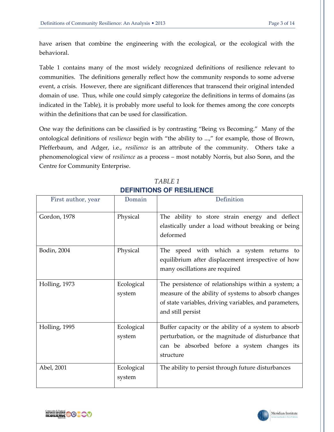have arisen that combine the engineering with the ecological, or the ecological with the behavioral.

Table 1 contains many of the most widely recognized definitions of resilience relevant to communities. The definitions generally reflect how the community responds to some adverse event, a crisis. However, there are significant differences that transcend their original intended domain of use. Thus, while one could simply categorize the definitions in terms of domains (as indicated in the Table), it is probably more useful to look for themes among the core concepts within the definitions that can be used for classification.

One way the definitions can be classified is by contrasting "Being vs Becoming." Many of the ontological definitions of *resilience* begin with "the ability to ...," for example, those of Brown, Pfefferbaum, and Adger, i.e., *resilience* is an attribute of the community. Others take a phenomenological view of *resilience* as a process – most notably Norris, but also Sonn, and the Centre for Community Enterprise.

| First author, year | Domain               | Definition                                                                                                                                                                                |
|--------------------|----------------------|-------------------------------------------------------------------------------------------------------------------------------------------------------------------------------------------|
| Gordon, 1978       | Physical             | The ability to store strain energy and deflect<br>elastically under a load without breaking or being<br>deformed                                                                          |
| Bodin, 2004        | Physical             | The speed with which a system returns to<br>equilibrium after displacement irrespective of how<br>many oscillations are required                                                          |
| Holling, 1973      | Ecological<br>system | The persistence of relationships within a system; a<br>measure of the ability of systems to absorb changes<br>of state variables, driving variables, and parameters,<br>and still persist |
| Holling, 1995      | Ecological<br>system | Buffer capacity or the ability of a system to absorb<br>perturbation, or the magnitude of disturbance that<br>can be absorbed before a system changes its<br>structure                    |
| Abel, 2001         | Ecological<br>system | The ability to persist through future disturbances                                                                                                                                        |

*TABLE 1*  **DEFINITIONS OF RESILIENCE** 



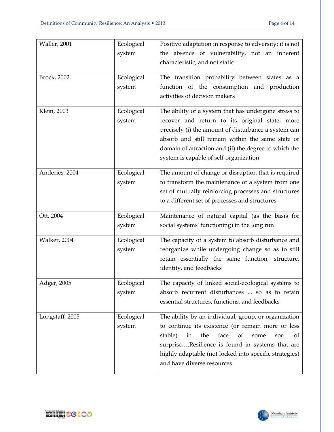| Waller, 2001    | Ecological | Positive adaptation in response to adversity; it is not             |
|-----------------|------------|---------------------------------------------------------------------|
|                 | system     | the absence of vulnerability, not an inherent                       |
|                 |            | characteristic, and not static                                      |
| Brock, 2002     | Ecological | The transition probability between states as a                      |
|                 | system     | function of the consumption and production                          |
|                 |            | activities of decision makers                                       |
| Klein, 2003     | Ecological | The ability of a system that has undergone stress to                |
|                 | system     | recover and return to its original state; more                      |
|                 |            | precisely (i) the amount of disturbance a system can                |
|                 |            | absorb and still remain within the same state or                    |
|                 |            | domain of attraction and (ii) the degree to which the               |
|                 |            | system is capable of self-organization                              |
| Anderies, 2004  | Ecological | The amount of change or disruption that is required                 |
|                 | system     | to transform the maintenance of a system from one                   |
|                 |            | set of mutually reinforcing processes and structures                |
|                 |            | to a different set of processes and structures                      |
| Ott, 2004       | Ecological | Maintenance of natural capital (as the basis for                    |
|                 | system     | social systems' functioning) in the long run                        |
| Walker, 2004    | Ecological | The capacity of a system to absorb disturbance and                  |
|                 | system     | reorganize while undergoing change so as to still                   |
|                 |            | retain essentially the same function, structure,                    |
|                 |            | identity, and feedbacks                                             |
| Adger, 2005     | Ecological | The capacity of linked social-ecological systems to                 |
|                 | system     | absorb recurrent disturbances  so as to retain                      |
|                 |            | essential structures, functions, and feedbacks                      |
| Longstaff, 2005 | Ecological | The ability by an individual, group, or organization                |
|                 | system     | to continue its existence (or remain more or less                   |
|                 |            | the<br>face<br>stable)<br>in<br><sub>of</sub><br>some<br>sort<br>of |
|                 |            | surpriseResilience is found in systems that are                     |
|                 |            | highly adaptable (not locked into specific strategies)              |
|                 |            | and have diverse resources                                          |



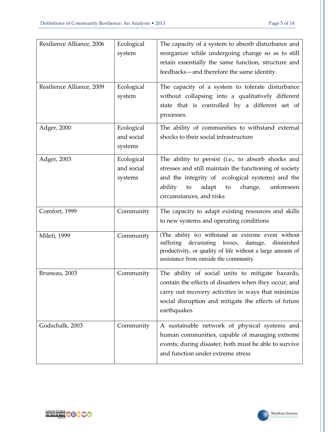| Resilience Alliance, 2006<br>Resilience Alliance, 2009 | Ecological<br>system<br>Ecological<br>system | The capacity of a system to absorb disturbance and<br>reorganize while undergoing change so as to still<br>retain essentially the same function, structure and<br>feedbacks-and therefore the same identity.<br>The capacity of a system to tolerate disturbance<br>without collapsing into a qualitatively different<br>state that is controlled by a different set of<br>processes. |
|--------------------------------------------------------|----------------------------------------------|---------------------------------------------------------------------------------------------------------------------------------------------------------------------------------------------------------------------------------------------------------------------------------------------------------------------------------------------------------------------------------------|
| Adger, 2000                                            | Ecological<br>and social<br>systems          | The ability of communities to withstand external<br>shocks to their social infrastructure                                                                                                                                                                                                                                                                                             |
| Adger, 2003                                            | Ecological<br>and social<br>systems          | The ability to persist (i.e., to absorb shocks and<br>stresses and still maintain the functioning of society<br>and the integrity of ecological systems) and the<br>adapt<br>to<br>change,<br>unforeseen<br>ability<br>to<br>circumstances, and risks                                                                                                                                 |
| Comfort, 1999                                          | Community                                    | The capacity to adapt existing resources and skills<br>to new systems and operating conditions                                                                                                                                                                                                                                                                                        |
| Mileti, 1999                                           | Community                                    | (The ability to) withstand an extreme event without<br>suffering<br>devastating<br>losses,<br>diminished<br>damage,<br>productivity, or quality of life without a large amount of<br>assistance from outside the community                                                                                                                                                            |
| Bruneau, 2003                                          | Community                                    | The ability of social units to mitigate hazards,<br>contain the effects of disasters when they occur, and<br>carry out recovery activities in ways that minimize<br>social disruption and mitigate the effects of future<br>earthquakes                                                                                                                                               |
| Godschalk, 2003                                        | Community                                    | A sustainable network of physical systems and<br>human communities, capable of managing extreme<br>events; during disaster, both must be able to survive<br>and function under extreme stress                                                                                                                                                                                         |

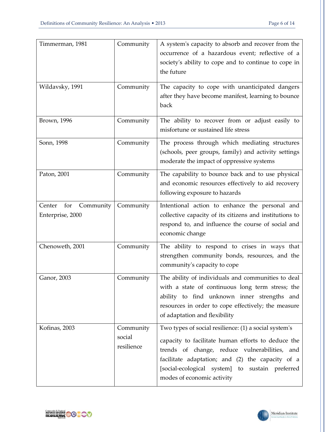| Timmerman, 1981                                | Community                         | A system's capacity to absorb and recover from the<br>occurrence of a hazardous event; reflective of a<br>society's ability to cope and to continue to cope in<br>the future                                                                                                                      |
|------------------------------------------------|-----------------------------------|---------------------------------------------------------------------------------------------------------------------------------------------------------------------------------------------------------------------------------------------------------------------------------------------------|
| Wildavsky, 1991                                | Community                         | The capacity to cope with unanticipated dangers<br>after they have become manifest, learning to bounce<br>back                                                                                                                                                                                    |
| <b>Brown</b> , 1996                            | Community                         | The ability to recover from or adjust easily to<br>misfortune or sustained life stress                                                                                                                                                                                                            |
| Sonn, 1998                                     | Community                         | The process through which mediating structures<br>(schools, peer groups, family) and activity settings<br>moderate the impact of oppressive systems                                                                                                                                               |
| Paton, 2001                                    | Community                         | The capability to bounce back and to use physical<br>and economic resources effectively to aid recovery<br>following exposure to hazards                                                                                                                                                          |
| Community<br>Center<br>for<br>Enterprise, 2000 | Community                         | Intentional action to enhance the personal and<br>collective capacity of its citizens and institutions to<br>respond to, and influence the course of social and<br>economic change                                                                                                                |
| Chenoweth, 2001                                | Community                         | The ability to respond to crises in ways that<br>strengthen community bonds, resources, and the<br>community's capacity to cope                                                                                                                                                                   |
| Ganor, 2003                                    | Community                         | The ability of individuals and communities to deal<br>with a state of continuous long term stress; the<br>ability to find unknown inner strengths and<br>resources in order to cope effectively; the measure<br>of adaptation and flexibility                                                     |
| Kofinas, 2003                                  | Community<br>social<br>resilience | Two types of social resilience: (1) a social system's<br>capacity to facilitate human efforts to deduce the<br>trends of change, reduce vulnerabilities, and<br>facilitate adaptation; and (2) the capacity of a<br>[social-ecological system] to sustain preferred<br>modes of economic activity |



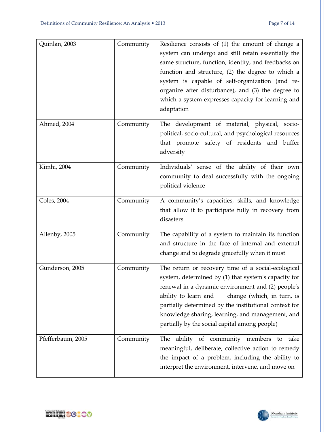| Quinlan, 2003     | Community | Resilience consists of (1) the amount of change a<br>system can undergo and still retain essentially the<br>same structure, function, identity, and feedbacks on<br>function and structure, (2) the degree to which a<br>system is capable of self-organization (and re-<br>organize after disturbance), and (3) the degree to<br>which a system expresses capacity for learning and<br>adaptation |
|-------------------|-----------|----------------------------------------------------------------------------------------------------------------------------------------------------------------------------------------------------------------------------------------------------------------------------------------------------------------------------------------------------------------------------------------------------|
| Ahmed, 2004       | Community | The development of material, physical, socio-<br>political, socio-cultural, and psychological resources<br>that promote safety of residents and buffer<br>adversity                                                                                                                                                                                                                                |
| Kimhi, 2004       | Community | Individuals' sense of the ability of their own<br>community to deal successfully with the ongoing<br>political violence                                                                                                                                                                                                                                                                            |
| Coles, 2004       | Community | A community's capacities, skills, and knowledge<br>that allow it to participate fully in recovery from<br>disasters                                                                                                                                                                                                                                                                                |
| Allenby, 2005     | Community | The capability of a system to maintain its function<br>and structure in the face of internal and external<br>change and to degrade gracefully when it must                                                                                                                                                                                                                                         |
| Gunderson, 2005   | Community | The return or recovery time of a social-ecological<br>system, determined by (1) that system's capacity for<br>renewal in a dynamic environment and (2) people's<br>ability to learn and<br>change (which, in turn, is<br>partially determined by the institutional context for<br>knowledge sharing, learning, and management, and<br>partially by the social capital among people)                |
| Pfefferbaum, 2005 | Community | ability of community members to<br>The<br>take<br>meaningful, deliberate, collective action to remedy<br>the impact of a problem, including the ability to<br>interpret the environment, intervene, and move on                                                                                                                                                                                    |



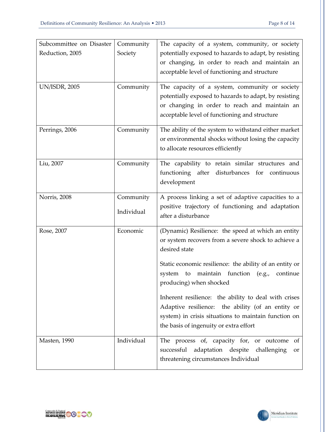| Reduction, 2005<br>Society<br>acceptable level of functioning and structure<br><b>UN/ISDR, 2005</b><br>Community<br>The capacity of a system, community or society | Subcommittee on Disaster | Community | The capacity of a system, community, or society                                                          |
|--------------------------------------------------------------------------------------------------------------------------------------------------------------------|--------------------------|-----------|----------------------------------------------------------------------------------------------------------|
|                                                                                                                                                                    |                          |           | potentially exposed to hazards to adapt, by resisting                                                    |
|                                                                                                                                                                    |                          |           | or changing, in order to reach and maintain an                                                           |
|                                                                                                                                                                    |                          |           |                                                                                                          |
|                                                                                                                                                                    |                          |           |                                                                                                          |
|                                                                                                                                                                    |                          |           |                                                                                                          |
|                                                                                                                                                                    |                          |           | potentially exposed to hazards to adapt, by resisting                                                    |
| acceptable level of functioning and structure                                                                                                                      |                          |           | or changing in order to reach and maintain an                                                            |
|                                                                                                                                                                    |                          |           |                                                                                                          |
| Perrings, 2006<br>Community                                                                                                                                        |                          |           | The ability of the system to withstand either market                                                     |
|                                                                                                                                                                    |                          |           | or environmental shocks without losing the capacity                                                      |
| to allocate resources efficiently                                                                                                                                  |                          |           |                                                                                                          |
| Liu, 2007<br>Community                                                                                                                                             |                          |           | The capability to retain similar structures and                                                          |
|                                                                                                                                                                    |                          |           | functioning after disturbances for continuous                                                            |
| development                                                                                                                                                        |                          |           |                                                                                                          |
|                                                                                                                                                                    |                          |           |                                                                                                          |
| Norris, 2008<br>Community                                                                                                                                          |                          |           | A process linking a set of adaptive capacities to a<br>positive trajectory of functioning and adaptation |
| Individual<br>after a disturbance                                                                                                                                  |                          |           |                                                                                                          |
|                                                                                                                                                                    |                          |           |                                                                                                          |
| Economic<br>Rose, 2007                                                                                                                                             |                          |           | (Dynamic) Resilience: the speed at which an entity                                                       |
|                                                                                                                                                                    |                          |           | or system recovers from a severe shock to achieve a                                                      |
| desired state                                                                                                                                                      |                          |           |                                                                                                          |
|                                                                                                                                                                    |                          |           | Static economic resilience: the ability of an entity or                                                  |
| system to maintain function (e.g.,                                                                                                                                 |                          |           | continue                                                                                                 |
| producing) when shocked                                                                                                                                            |                          |           |                                                                                                          |
|                                                                                                                                                                    |                          |           | Inherent resilience: the ability to deal with crises                                                     |
|                                                                                                                                                                    |                          |           | Adaptive resilience: the ability (of an entity or                                                        |
|                                                                                                                                                                    |                          |           | system) in crisis situations to maintain function on                                                     |
| the basis of ingenuity or extra effort                                                                                                                             |                          |           |                                                                                                          |
|                                                                                                                                                                    |                          |           |                                                                                                          |
| Individual<br>The process of, capacity for, or outcome<br>Masten, 1990                                                                                             |                          |           | of                                                                                                       |
| successful<br>adaptation despite<br>challenging                                                                                                                    |                          |           | or                                                                                                       |
| threatening circumstances Individual                                                                                                                               |                          |           |                                                                                                          |

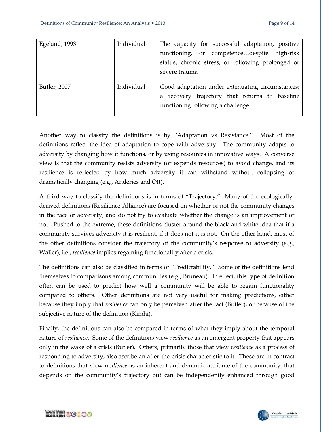| Egeland, 1993 | Individual | The capacity for successful adaptation, positive  |
|---------------|------------|---------------------------------------------------|
|               |            | functioning, or competencedespite high-risk       |
|               |            | status, chronic stress, or following prolonged or |
|               |            | severe trauma                                     |
|               |            |                                                   |
| Butler, 2007  | Individual | Good adaptation under extenuating circumstances;  |
|               |            | a recovery trajectory that returns to baseline    |
|               |            | functioning following a challenge                 |
|               |            |                                                   |

Another way to classify the definitions is by "Adaptation vs Resistance." Most of the definitions reflect the idea of adaptation to cope with adversity. The community adapts to adversity by changing how it functions, or by using resources in innovative ways. A converse view is that the community resists adversity (or expends resources) to avoid change, and its resilience is reflected by how much adversity it can withstand without collapsing or dramatically changing (e.g., Anderies and Ott).

A third way to classify the definitions is in terms of "Trajectory." Many of the ecologicallyderived definitions (Resilience Alliance) are focused on whether or not the community changes in the face of adversity, and do not try to evaluate whether the change is an improvement or not. Pushed to the extreme, these definitions cluster around the black-and-white idea that if a community survives adversity it is resilient, if it does not it is not. On the other hand, most of the other definitions consider the trajectory of the community's response to adversity (e.g., Waller), i.e., *resilience* implies regaining functionality after a crisis.

The definitions can also be classified in terms of "Predictability." Some of the definitions lend themselves to comparisons among communities (e.g., Bruneau). In effect, this type of definition often can be used to predict how well a community will be able to regain functionality compared to others. Other definitions are not very useful for making predictions, either because they imply that *resilience* can only be perceived after the fact (Butler), or because of the subjective nature of the definition (Kimhi).

Finally, the definitions can also be compared in terms of what they imply about the temporal nature of *resilience*. Some of the definitions view *resilience* as an emergent property that appears only in the wake of a crisis (Butler). Others, primarily those that view *resilience* as a process of responding to adversity, also ascribe an after-the-crisis characteristic to it. These are in contrast to definitions that view *resilience* as an inherent and dynamic attribute of the community, that depends on the community's trajectory but can be independently enhanced through good

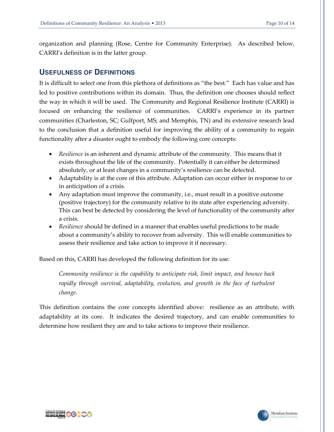organization and planning (Rose, Centre for Community Enterprise). As described below, CARRI's definition is in the latter group.

#### **USEFULNESS OF DEFINITIONS**

It is difficult to select one from this plethora of definitions as "the best." Each has value and has led to positive contributions within its domain. Thus, the definition one chooses should reflect the way in which it will be used. The Community and Regional Resilience Institute (CARRI) is focused on enhancing the resilience of communities. CARRI's experience in its partner communities (Charleston, SC; Gulfport, MS; and Memphis, TN) and its extensive research lead to the conclusion that a definition useful for improving the ability of a community to regain functionality after a disaster ought to embody the following core concepts:

- *Resilience* is an inherent and dynamic attribute of the community. This means that it exists throughout the life of the community. Potentially it can either be determined absolutely, or at least changes in a community's resilience can be detected.
- Adaptability is at the core of this attribute. Adaptation can occur either in response to or in anticipation of a crisis.
- Any adaptation must improve the community, i.e., must result in a positive outcome (positive trajectory) for the community relative to its state after experiencing adversity. This can best be detected by considering the level of functionality of the community after a crisis.
- *Resilience* should be defined in a manner that enables useful predictions to be made about a community's ability to recover from adversity. This will enable communities to assess their resilience and take action to improve it if necessary.

Based on this, CARRI has developed the following definition for its use:

*Community resilience is the capability to anticipate risk, limit impact, and bounce back rapidly through survival, adaptability, evolution, and growth in the face of turbulent change.* 

This definition contains the core concepts identified above: resilience as an attribute, with adaptability at its core. It indicates the desired trajectory, and can enable communities to determine how resilient they are and to take actions to improve their resilience.



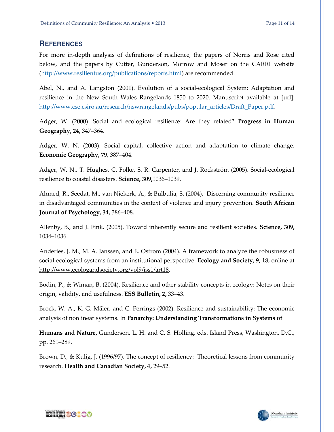### **REFERENCES**

For more in-depth analysis of definitions of resilience, the papers of Norris and Rose cited below, and the papers by Cutter, Gunderson, Morrow and Moser on the CARRI website [\(http://www.resilientus.org/publications/reports.html\)](http://www.resilientus.org/publications/reports.html) are recommended.

Abel, N., and A. Langston (2001). Evolution of a social-ecological System: Adaptation and resilience in the New South Wales Rangelands 1850 to 2020. Manuscript available at [url]: [http://www.cse.csiro.au/research/nswrangelands/pubs/popular\\_articles/Draft\\_Paper.pdf.](http://www.cse.csiro.au/research/nswrangelands/pubs/popular_articles/Draft_Paper.pdf)

Adger, W. (2000). Social and ecological resilience: Are they related? **Progress in Human Geography, 24,** 347–364.

Adger, W. N. (2003). Social capital, collective action and adaptation to climate change. **Economic Geography, 79**, 387–404.

Adger, W. N., T. Hughes, C. Folke, S. R. Carpenter, and J. Rockström (2005). Social-ecological resilience to coastal disasters. **Science, 309,**1036–1039.

Ahmed, R., Seedat, M., van Niekerk, A., & Bulbulia, S. (2004). Discerning community resilience in disadvantaged communities in the context of violence and injury prevention. **South African Journal of Psychology, 34,** 386–408.

Allenby, B., and J. Fink. (2005). Toward inherently secure and resilient societies. **Science, 309,**  1034–1036.

Anderies, J. M., M. A. Janssen, and E. Ostrom (2004). A framework to analyze the robustness of social-ecological systems from an institutional perspective. **Ecology and Society, 9,** 18; online at http://www.ecologandsociety.org/vol9/iss1/art18.

Bodin, P., & Wiman, B. (2004). Resilience and other stability concepts in ecology: Notes on their origin, validity, and usefulness. **ESS Bulletin, 2,** 33–43.

Brock, W. A., K.-G. Mäler, and C. Perrings (2002). Resilience and sustainability: The economic analysis of nonlinear systems. In **Panarchy: Understanding Transformations in Systems of** 

**Humans and Nature,** Gunderson, L. H. and C. S. Holling, eds. Island Press, Washington, D.C., pp. 261–289.

Brown, D., & Kulig, J. (1996/97). The concept of resiliency: Theoretical lessons from community research. **Health and Canadian Society, 4,** 29–52.



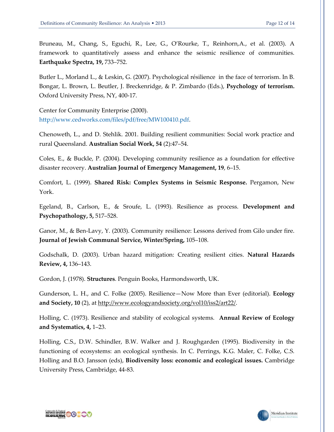Bruneau, M., Chang, S., Eguchi, R., Lee, G., O'Rourke, T., Reinhorn,A., et al. (2003). A framework to quantitatively assess and enhance the seismic resilience of communities. **Earthquake Spectra, 19,** 733–752.

Butler L., Morland L., & Leskin, G. (2007). Psychological résilience in the face of terrorism. In B. Bongar, L. Brown, L. Beutler, J. Breckenridge, & P. Zimbardo (Eds.), **Psychology of terrorism.**  Oxford University Press, NY, 400-17.

Center for Community Enterprise (2000). [http://www.cedworks.com/files/pdf/free/MW100410.pdf.](http://www.cedworks.com/files/pdf/free/MW100410.pdf)

Chenoweth, L., and D. Stehlik. 2001. Building resilient communities: Social work practice and rural Queensland. **Australian Social Work, 54** (2):47–54.

Coles, E., & Buckle, P. (2004). Developing community resilience as a foundation for effective disaster recovery. **Australian Journal of Emergency Management, 19**, 6–15.

Comfort, L. (1999). **Shared Risk: Complex Systems in Seismic Response.** Pergamon, New York.

Egeland, B., Carlson, E., & Sroufe, L. (1993). Resilience as process. **Development and Psychopathology, 5,** 517–528.

Ganor, M., & Ben-Lavy, Y. (2003). Community resilience: Lessons derived from Gilo under fire. **Journal of Jewish Communal Service, Winter/Spring,** 105–108.

Godschalk, D. (2003). Urban hazard mitigation: Creating resilient cities. **Natural Hazards Review, 4,** 136–143.

Gordon, J. (1978). **Structures**. Penguin Books, Harmondsworth, UK.

Gunderson, L. H., and C. Folke (2005). Resilience—Now More than Ever (editorial). **Ecology and Society, 10** (2), at http://www.ecologyandsociety.org/vol10/iss2/art22/.

Holling, C. (1973). Resilience and stability of ecological systems. **Annual Review of Ecology and Systematics, 4,** 1–23.

Holling, C.S., D.W. Schindler, B.W. Walker and J. Roughgarden (1995). Biodiversity in the functioning of ecosystems: an ecological synthesis. In C. Perrings, K.G. Maler, C. Folke, C.S. Holling and B.O. Jansson (eds), **Biodiversity loss: economic and ecological issues.** Cambridge University Press, Cambridge, 44-83.



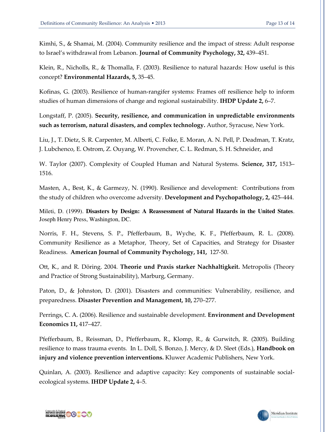Kimhi, S., & Shamai, M. (2004). Community resilience and the impact of stress: Adult response to Israel's withdrawal from Lebanon. **Journal of Community Psychology, 32,** 439–451.

Klein, R., Nicholls, R., & Thomalla, F. (2003). Resilience to natural hazards: How useful is this concept? **Environmental Hazards, 5,** 35–45.

Kofinas, G. (2003). Resilience of human-rangifer systems: Frames off resilience help to inform studies of human dimensions of change and regional sustainability. **IHDP Update 2,** 6–7.

Longstaff, P. (2005). **Security, resilience, and communication in unpredictable environments such as terrorism, natural disasters, and complex technology.** Author, Syracuse, New York.

Liu, J., T. Dietz, S. R. Carpenter, M. Alberti, C. Folke, E. Moran, A. N. Pell, P. Deadman, T. Kratz, J. Lubchenco, E. Ostrom, Z. Ouyang, W. Provencher, C. L. Redman, S. H. Schneider, and

W. Taylor (2007). Complexity of Coupled Human and Natural Systems. **Science, 317,** 1513– 1516.

Masten, A., Best, K., & Garmezy, N. (1990). Resilience and development: Contributions from the study of children who overcome adversity. **Development and Psychopathology, 2,** 425–444.

Mileti, D. (1999). **Disasters by Design: A Reassessment of Natural Hazards in the United States**. Joseph Henry Press, Washington, DC.

Norris, F. H., Stevens, S. P., Pfefferbaum, B., Wyche, K. F., Pfefferbaum, R. L. (2008). Community Resilience as a Metaphor, Theory, Set of Capacities, and Strategy for Disaster Readiness. **American Journal of Community Psychology, 141,** 127-50.

Ott, K., and R. Döring. 2004. **Theorie und Praxis starker Nachhaltigkeit.** Metropolis (Theory and Practice of Strong Sustainability), Marburg, Germany.

Paton, D., & Johnston, D. (2001). Disasters and communities: Vulnerability, resilience, and preparedness. **Disaster Prevention and Management, 10,** 270–277.

Perrings, C. A. (2006). Resilience and sustainable development. **Environment and Development Economics 11,** 417–427.

Pfefferbaum, B., Reissman, D., Pfefferbaum, R., Klomp, R., & Gurwitch, R. (2005). Building resilience to mass trauma events. In L. Doll, S. Bonzo, J. Mercy, & D. Sleet (Eds.), **Handbook on injury and violence prevention interventions.** Kluwer Academic Publishers, New York.

Quinlan, A. (2003). Resilience and adaptive capacity: Key components of sustainable socialecological systems. **IHDP Update 2,** 4–5.